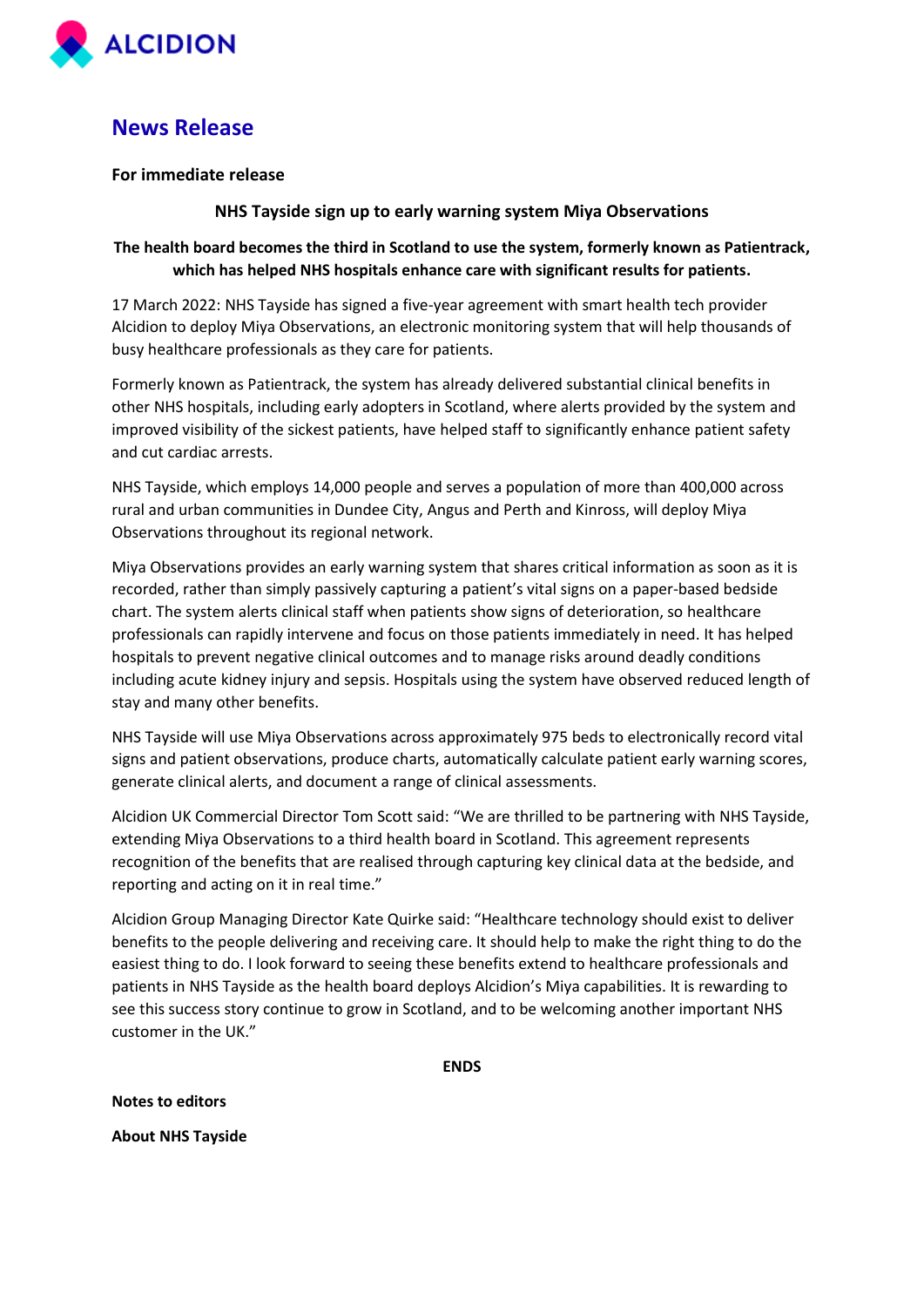

# **News Release**

### **For immediate release**

### **NHS Tayside sign up to early warning system Miya Observations**

## **The health board becomes the third in Scotland to use the system, formerly known as Patientrack, which has helped NHS hospitals enhance care with significant results for patients.**

17 March 2022: NHS Tayside has signed a five-year agreement with smart health tech provider Alcidion to deploy Miya Observations, an electronic monitoring system that will help thousands of busy healthcare professionals as they care for patients.

Formerly known as Patientrack, the system has already delivered substantial clinical benefits in other NHS hospitals, including early adopters in Scotland, where alerts provided by the system and improved visibility of the sickest patients, have helped staff to significantly enhance patient safety and cut cardiac arrests.

NHS Tayside, which employs 14,000 people and serves a population of more than 400,000 across rural and urban communities in Dundee City, Angus and Perth and Kinross, will deploy Miya Observations throughout its regional network.

Miya Observations provides an early warning system that shares critical information as soon as it is recorded, rather than simply passively capturing a patient's vital signs on a paper-based bedside chart. The system alerts clinical staff when patients show signs of deterioration, so healthcare professionals can rapidly intervene and focus on those patients immediately in need. It has helped hospitals to prevent negative clinical outcomes and to manage risks around deadly conditions including acute kidney injury and sepsis. Hospitals using the system have observed reduced length of stay and many other benefits.

NHS Tayside will use Miya Observations across approximately 975 beds to electronically record vital signs and patient observations, produce charts, automatically calculate patient early warning scores, generate clinical alerts, and document a range of clinical assessments.

Alcidion UK Commercial Director Tom Scott said: "We are thrilled to be partnering with NHS Tayside, extending Miya Observations to a third health board in Scotland. This agreement represents recognition of the benefits that are realised through capturing key clinical data at the bedside, and reporting and acting on it in real time."

Alcidion Group Managing Director Kate Quirke said: "Healthcare technology should exist to deliver benefits to the people delivering and receiving care. It should help to make the right thing to do the easiest thing to do. I look forward to seeing these benefits extend to healthcare professionals and patients in NHS Tayside as the health board deploys Alcidion's Miya capabilities. It is rewarding to see this success story continue to grow in Scotland, and to be welcoming another important NHS customer in the UK."

**ENDS**

**Notes to editors** 

**About NHS Tayside**